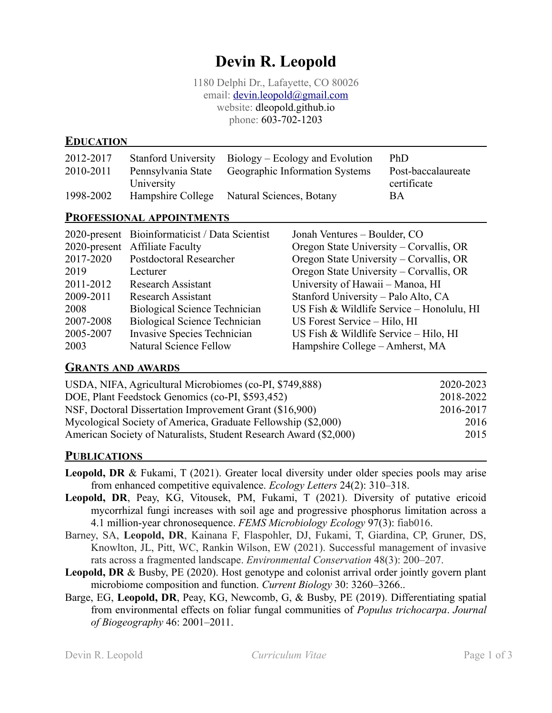# **Devin R. Leopold**

1180 Delphi Dr., Lafayette, CO 80026 email: [devin.leopold@gmail.com](mailto:devin.leopold@gmail.com) website: dleopold.github.io phone: 603-702-1203

### **EDUCATION**

| 2012-2017 |                    | Stanford University Biology – Ecology and Evolution | PhD                |
|-----------|--------------------|-----------------------------------------------------|--------------------|
| 2010-2011 | Pennsylvania State | Geographic Information Systems                      | Post-baccalaureate |
|           | University         |                                                     | certificate        |
| 1998-2002 | Hampshire College  | Natural Sciences, Botany                            | BA                 |
|           | <b>n</b>           |                                                     |                    |

#### **PROFESSIONAL APPOINTMENTS**

|           | 2020-present Bioinformaticist / Data Scientist | Jonah Ventures - Boulder, CO              |
|-----------|------------------------------------------------|-------------------------------------------|
|           | 2020-present Affiliate Faculty                 | Oregon State University – Corvallis, OR   |
| 2017-2020 | Postdoctoral Researcher                        | Oregon State University – Corvallis, OR   |
| 2019      | Lecturer                                       | Oregon State University - Corvallis, OR   |
| 2011-2012 | <b>Research Assistant</b>                      | University of Hawaii - Manoa, HI          |
| 2009-2011 | <b>Research Assistant</b>                      | Stanford University - Palo Alto, CA       |
| 2008      | <b>Biological Science Technician</b>           | US Fish & Wildlife Service - Honolulu, HI |
| 2007-2008 | <b>Biological Science Technician</b>           | US Forest Service – Hilo, HI              |
| 2005-2007 | <b>Invasive Species Technician</b>             | US Fish & Wildlife Service - Hilo, HI     |
| 2003      | <b>Natural Science Fellow</b>                  | Hampshire College – Amherst, MA           |

#### **GRANTS AND AWARDS**

| USDA, NIFA, Agricultural Microbiomes (co-PI, \$749,888)           | 2020-2023 |
|-------------------------------------------------------------------|-----------|
| DOE, Plant Feedstock Genomics (co-PI, \$593,452)                  | 2018-2022 |
| NSF, Doctoral Dissertation Improvement Grant (\$16,900)           | 2016-2017 |
| Mycological Society of America, Graduate Fellowship (\$2,000)     | 2016      |
| American Society of Naturalists, Student Research Award (\$2,000) | 2015      |

#### **PUBLICATIONS**

- Leopold, DR & Fukami, T (2021). Greater local diversity under older species pools may arise from enhanced competitive equivalence. *Ecology Letters* 24(2): 310–318.
- **Leopold, DR**, Peay, KG, Vitousek, PM, Fukami, T (2021). Diversity of putative ericoid mycorrhizal fungi increases with soil age and progressive phosphorus limitation across a 4.1 million-year chronosequence. *FEMS Microbiology Ecology* 97(3): fiab016.
- Barney, SA, **Leopold, DR**, Kainana F, Flaspohler, DJ, Fukami, T, Giardina, CP, Gruner, DS, Knowlton, JL, Pitt, WC, Rankin Wilson, EW (2021). Successful management of invasive rats across a fragmented landscape. *Environmental Conservation* 48(3): 200–207.
- **Leopold, DR** & Busby, PE (2020). Host genotype and colonist arrival order jointly govern plant microbiome composition and function. *Current Biology* 30: 3260–3266..
- Barge, EG, **Leopold, DR**, Peay, KG, Newcomb, G, & Busby, PE (2019). Differentiating spatial from environmental effects on foliar fungal communities of *Populus trichocarpa*. *Journal of Biogeography* 46: 2001–2011.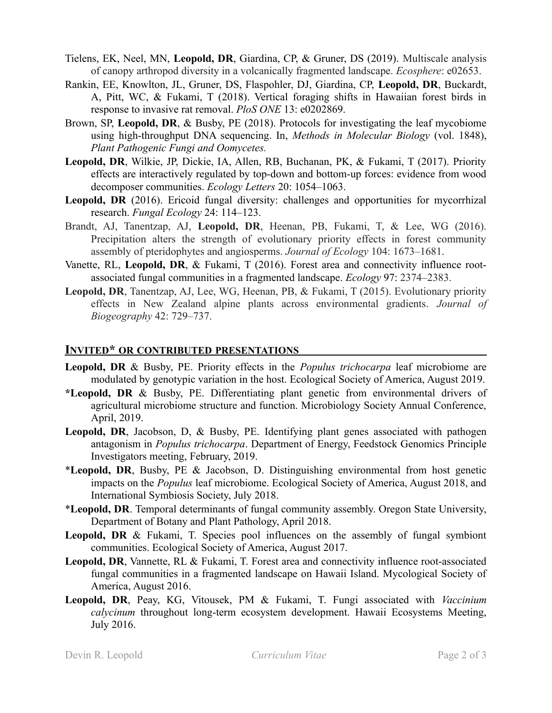- Tielens, EK, Neel, MN, **Leopold, DR**, Giardina, CP, & Gruner, DS (2019). Multiscale analysis of canopy arthropod diversity in a volcanically fragmented landscape. *Ecosphere*: e02653.
- Rankin, EE, Knowlton, JL, Gruner, DS, Flaspohler, DJ, Giardina, CP, **Leopold, DR**, Buckardt, A, Pitt, WC, & Fukami, T (2018). Vertical foraging shifts in Hawaiian forest birds in response to invasive rat removal. *PloS ONE* 13: e0202869.
- Brown, SP, **Leopold, DR**, & Busby, PE (2018). Protocols for investigating the leaf mycobiome using high-throughput DNA sequencing. In, *Methods in Molecular Biology* (vol. 1848), *Plant Pathogenic Fungi and Oomycetes.*
- **Leopold, DR**, Wilkie, JP, Dickie, IA, Allen, RB, Buchanan, PK, & Fukami, T (2017). Priority effects are interactively regulated by top-down and bottom-up forces: evidence from wood decomposer communities. *Ecology Letters* 20: 1054–1063.
- Leopold, DR (2016). Ericoid fungal diversity: challenges and opportunities for mycorrhizal research. *Fungal Ecology* 24: 114–123.
- Brandt, AJ, Tanentzap, AJ, **Leopold, DR**, Heenan, PB, Fukami, T, & Lee, WG (2016). Precipitation alters the strength of evolutionary priority effects in forest community assembly of pteridophytes and angiosperms. *Journal of Ecology* 104: 1673–1681.
- Vanette, RL, **Leopold, DR**, & Fukami, T (2016). Forest area and connectivity influence rootassociated fungal communities in a fragmented landscape. *Ecology* 97: 2374–2383.
- **Leopold, DR**, Tanentzap, AJ, Lee, WG, Heenan, PB, & Fukami, T (2015). Evolutionary priority effects in New Zealand alpine plants across environmental gradients. *Journal of Biogeography* 42: 729–737.

#### **INVITED\* OR CONTRIBUTED PRESENTATIONS**

- **Leopold, DR** & Busby, PE. Priority effects in the *Populus trichocarpa* leaf microbiome are modulated by genotypic variation in the host. Ecological Society of America, August 2019.
- **\*Leopold, DR** & Busby, PE. Differentiating plant genetic from environmental drivers of agricultural microbiome structure and function. Microbiology Society Annual Conference, April, 2019.
- **Leopold, DR**, Jacobson, D, & Busby, PE. Identifying plant genes associated with pathogen antagonism in *Populus trichocarpa*. Department of Energy, Feedstock Genomics Principle Investigators meeting, February, 2019.
- \***Leopold, DR**, Busby, PE & Jacobson, D. Distinguishing environmental from host genetic impacts on the *Populus* leaf microbiome. Ecological Society of America, August 2018, and International Symbiosis Society, July 2018.
- \***Leopold, DR**. Temporal determinants of fungal community assembly. Oregon State University, Department of Botany and Plant Pathology, April 2018.
- Leopold, DR & Fukami, T. Species pool influences on the assembly of fungal symbiont communities. Ecological Society of America, August 2017.
- Leopold, DR, Vannette, RL & Fukami, T. Forest area and connectivity influence root-associated fungal communities in a fragmented landscape on Hawaii Island. Mycological Society of America, August 2016.
- **Leopold, DR**, Peay, KG, Vitousek, PM & Fukami, T. Fungi associated with *Vaccinium calycinum* throughout long-term ecosystem development. Hawaii Ecosystems Meeting, July 2016.